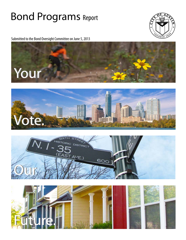# **Bond Programs Report**



Submitted to the Bond Oversight Committee on June 5, 2013







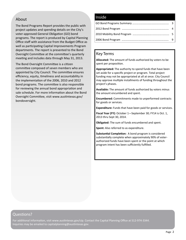# About

The Bond Programs Report provides the public with project updates and spending details on the City's voter-approved General Obligation (GO) bond programs. The report is produced by Capital Planning Office staff with assistance from the Budget Office as well as participating Capital Improvements Program departments. The report is presented to the Bond Oversight Committee at the committee's quarterly meeting and includes data through May 31, 2013.

The Bond Oversight Committee is a citizen committee composed of seven members who are appointed by City Council. The committee ensures efficiency, equity, timeliness and accountability in the implementation of the 2006, 2010 and 2012 bond programs. The committee is also responsible for reviewing the annual bond appropriation and sale schedule. For more information about the Bond Oversight Committee, visit www.austintexas.gov/ bondoversight.

# Inside

# Key Terms

**Allocated:** The amount of funds authorized by voters to be spent per proposition.

**Appropriated:** The authority to spend funds that have been set aside for a specific project or program. Total project funding may not be appropriated at all at once. City Council may approve multiple installments of funding throughout the project's phases.

**Available:** The amount of funds authorized by voters minus the amount encumbered and spent.

**Encumbered:** Commitments made to unperformed contracts for goods or services.

**Expenditure:** Funds that have been paid for goods or services.

**Fiscal Year (FY):** October 1—September 30; FY14 is Oct. 1, 2013 thru Sept 30, 2014.

**Obligated:** The sum of funds encumbered and spent.

**Spent:** Also referred to as expenditure.

**Substantial Completion:** A bond program is considered substantially complete when approximately 90% of voterauthorized funds have been spent or the point at which program intent has been sufficiently fulfilled.

# Questions?

For additional information, visit www.austintexas.gov/cip. Contact the Capital Planning Office at 512-974-3344. Inquiries may be emailed to capitalplanning@austintexas.gov.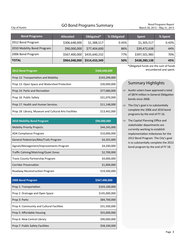# GO Bond Programs Summary Bond Programs Report

City of Austin March 30, 2013 – May 31, 2013

| <b>Bond Programs</b>       | <b>Allocated</b> | Obligated*    | % Obligated | <b>Spent</b>  | % Spent |
|----------------------------|------------------|---------------|-------------|---------------|---------|
| 2012 Bond Program          | \$306,648,000    | \$1,388,517   | 0.45%       | \$1,305,517   | 0.43%   |
| 2010 Mobility Bond Program | \$90,000,000     | \$77,404,600  | 86%         | \$39,472,638  | 44%     |
| 2006 Bond Program          | \$567,400,000    | \$435,640,232 | 77%         | \$397,501,983 | 70%     |
| <b>TOTAL</b>               | \$964,048,000    | \$514,433,349 | 50%         | \$438,280,138 | 45%     |

| 2012 Bond Program                                     | \$306,648,000 |
|-------------------------------------------------------|---------------|
| Prop 12: Transportation and Mobility                  | \$143,299,000 |
| Prop 13: Open Space and Watershed Protection          | \$30,000,000  |
| Prop 14: Parks and Recreation                         | \$77,680,000  |
| Prop 16: Public Safety                                | \$31,079,000  |
| Prop 17: Health and Human Services                    | \$11,148,000  |
| Prop 18: Library, Museum and Cultural Arts Facilities | \$13,442,000  |

| <b>2010 Mobility Bond Program</b>        | \$90,000,000 |
|------------------------------------------|--------------|
| <b>Mobility Priority Projects</b>        | \$44,245,000 |
| ADA Compliance Program                   | \$10,000,000 |
| General Pedestrian/Bike/Trails Program   | \$4,355,000  |
| Signals/Management/Improvements Program  | \$4,200,000  |
| Traffic Calming/Matching/Quiet Zones     | \$2,700,000  |
| <b>Travis County Partnership Program</b> | \$4,000,000  |
| <b>Corridor Preservation</b>             | \$1,000,000  |
| Roadway Reconstruction Program           | \$19,500,000 |

| 2006 Bond Program                         | \$567,400,000 |
|-------------------------------------------|---------------|
| Prop 1: Transportation                    | \$103,100,000 |
| Prop 2: Drainage and Open Space           | \$145,000,000 |
| Prop 3: Parks                             | \$84,700,000  |
| Prop 4: Community and Cultural Facilities | \$31,500,000  |
| Prop 5: Affordable Housing                | \$55,000,000  |
| Prop 6: New Central Library               | \$90,000,000  |
| Prop 7: Public Safety Facilities          | \$58,100,000  |

\*Obligated funds are the sum of funds encumbered and spent.

# Summary Highlights

- $\Rightarrow$  Austin voters have approved a total of \$874 million in General Obligation bonds since 2006.
- $\Rightarrow$  The City's goal is to substantially complete the 2006 and 2010 bond programs by the end of FY 16.
- $\Rightarrow$  The Capital Planning Office and stakeholder departments are currently working to establish implementation milestones for the 2012 Bond Program. The City's goal is to substantially complete the 2012 bond program by the end of FY 18.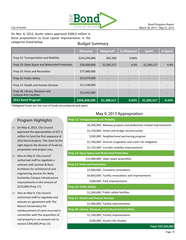

On Nov. 6, 2012, Austin voters approved \$306.6 million in bond propositions to fund capital improvements in the categories listed below.

# Budget Summary

|                                                                 | <b>Allocated</b> | Obligated*  | % Obligated | <b>Spent</b> | % Spent |
|-----------------------------------------------------------------|------------------|-------------|-------------|--------------|---------|
| Prop 12: Transportation and Mobility                            | \$143,299,000    | \$82,500    | 0.06%       |              |         |
| Prop 13: Open Space and Watershed Protection                    | \$30,000,000     | \$1,305,517 | 4.4%        | \$1,305,517  | 4.4%    |
| Prop 14: Parks and Recreation                                   | \$77,680,000     |             |             |              |         |
| Prop 16: Public Safety                                          | \$31,079,000     |             |             |              |         |
| Prop 17: Health and Human Services                              | \$11,148,000     |             |             |              |         |
| Prop 18: Library, Museum and<br><b>Cultural Arts Facilities</b> | \$13,442,000     |             |             |              |         |
| 2012 Bond Program                                               | \$306,648,000    | \$1,388,517 | 0.45%       | \$1,305,517  | 0.43%   |

\*Obligated funds are the sum of funds encumbered and spent.

# Program Highlights

- $\Rightarrow$  On May 9, 2013, City Council approved the appropriation of \$37.2 million to fund the first sequence of 2012 Bond projects. The chart to the right depicts the division of funds by proposition and project area.
- $\Rightarrow$  Also on May 9, City Council authorized staff to negotiate a contract with Jackson & Ryan Architects for architectural and engineering services for Betty Dunkerley Campus infrastructure improvements in the amount of \$222,000 (Prop 17).
- $\Rightarrow$  Also on May 9, City Council authorized staff to negotiate and execute an agreement with The Nature Conservancy for reimbursement of costs incurred in connection with the acquisition of real property in an amount not to exceed \$300,000 (Prop 13).

# May 9, 2013 Appropriation

| <b>Prop 12: Transportation and Mobility</b>           |                                                      |
|-------------------------------------------------------|------------------------------------------------------|
| \$6,300,000                                           | Bikeway projects and pedestrian-related improvements |
|                                                       | \$1,150,000 Street and bridge reconstruction         |
| \$200,000                                             | Neighborhood partnering program                      |
| \$1,760,000                                           | Arterial congestion and crash risk mitigation        |
|                                                       | \$1,725,000 Corridor mobility improvements           |
| Prop 13: Open Space and Watershed Protection          |                                                      |
|                                                       | \$15,000,000 Open space acquisition                  |
| <b>Prop 14: Parks and Recreation</b>                  |                                                      |
| \$1,000,000                                           | Cemetery renovations                                 |
| \$4,850,000                                           | Facility renovations and improvements                |
| \$500,000                                             | Park improvements                                    |
| <b>Prop 16: Public Safety</b>                         |                                                      |
| \$1,500,000                                           | Public safety facilities                             |
| <b>Prop 17: Health and Human Services</b>             |                                                      |
|                                                       | \$1,960,000 Facility improvements                    |
| Prop 18: Library, Museum and Cultural Arts Facilities |                                                      |
|                                                       | \$1,190,000 Facility improvements                    |
| \$100,000                                             | <b>Austin Film Studios</b>                           |
|                                                       |                                                      |

**Total: \$37,235,000**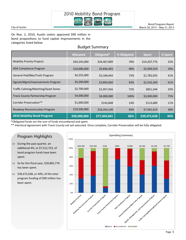

#### City of Austin

On Nov. 2, 2010, Austin voters approved \$90 million in bond propositions to fund capital improvements in the categories listed below.

# Budget Summary

|                                      | <b>Allocated</b> | Obligated*   | % Obligated | <b>Spent</b> | % Spent |
|--------------------------------------|------------------|--------------|-------------|--------------|---------|
| <b>Mobility Priority Projects</b>    | \$44,245,000     | \$34,467,809 | 78%         | \$14,207,776 | 32%     |
| <b>ADA Compliance Program</b>        | \$10,000,000     | \$9,846,403  | 98%         | \$5,909,559  | 59%     |
| General Ped/Bike/Trails Program      | \$4,355,000      | \$3,184,644  | 73%         | \$1,782,035  | 41%     |
| Signals/Mgmt/Improvements Program    | \$4,200,000      | \$3,895,830  | 93%         | \$2,542,269  | 61%     |
| Traffic Calming/Matching/Quiet Zones | \$2,700,000      | \$1,957,456  | 72%         | \$851,244    | 32%     |
| Travis County Partnership Program    | \$4,000,000      | \$4,000,000  | 100%        | \$3,000,000  | 75%     |
| Corridor Preservation**              | \$1,000,000      | \$143,848    | 14%         | \$113,689    | 11%     |
| Roadway Reconstruction Program       | \$19,500,000     | \$18,354,149 | 94%         | \$7,491,619  | 38%     |
| <b>2010 Mobility Bond Program</b>    | \$90,000,000     | \$77,404,601 | 86%         | \$39,472,638 | 44%     |

\*Obligated funds are the sum of funds encumbered and spent.

\*\* Interlocal Agreement with Travis County not yet executed. Once complete, Corridor Preservation will be fully obligated.

# Program Highlights

- $\implies$  During the past quarter, an additional 4%, or \$7,512,753, of bond program funds have been spent.
- $\Rightarrow$  So far this fiscal year, \$20,865,774 has been spent.
- $\Rightarrow$  \$39,472,638, or 44%, of the total program funding of \$90 million has been spent.



Bond Programs Report March 30, 2013 – May 31, 2013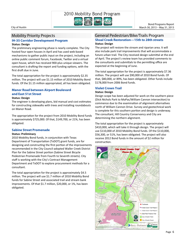City of Austin March 30, 2013 – May 31, 2013

# Mobility Priority Projects

#### **IH-35 Corridor Development Program**

#### **Status: Design**

The preliminary engineering phase is nearly complete. The City hosted four open houses in April and has used web‐based mechanisms to gather public input on the project, including an online public comment forum, Facebook, Twitter and a virtual open house, which has received 900‐plus unique viewers. The consultant is drafting the report and funding options, with the first draft due in June.

The total appropriation for the project is approximately \$2.35 million. The project will use \$1.15 million of 2010 Mobility Bond funds. Of the \$1.15 million appropriated, all has been obligated.

# **Manor Road between Airport Boulevard and East 51st Street**

#### **Status: Design**

The engineer is developing plans, bid manual and cost estimates for constructing sidewalks with trees and installing roundabouts on Manor Road.

The appropriation for the project from 2010 Mobility Bond funds is approximately \$725,000. Of that, \$149,700, or 21%, has been obligated.

#### **Sabine Street Promenade**

#### **Status: Preliminary**

2010 Mobility Bond funds, in conjunction with Texas Department of Transportation (TxDOT) grant funds, are for designing and constructing the first portion of the improvements recommended in the City Council‐adopted Waller Creek District Plan for the Sabine Street portion (Sabine Street Bicycle Pedestrian Promenade from Fourth to Seventh streets). City staff is working with the City's Contract Management Department and TxDOT to explore procurement methods for a consultant.

The total appropriation for the project is approximately \$4.5 million. The project will use \$1.7 million of 2010 Mobility Bond funds for Sabine Street and associated trail and stream bank improvements. Of that \$1.7 million, \$20,000, or 1%, has been obligated.

### **Shoal Creek Restoration—15th to 28th streets Status: Design**  General Pedestrian/Bike/Trails Program

The project will restore the stream and riparian area. It will also include park trail improvements that will accommodate a future urban trail. The City received design submittal at the end of April. The project's review team has provided comments to the consultants and submittals to the permitting office are expected at the beginning of June.

Bond Programs Report

The total appropriation for the project is approximately \$7.36 million. The project will use \$90,000 of 2010 Bond funds. Of that, \$80,000, or 89%, has been obligated. Other funds include \$178,000 from 2006 Bond funds.

#### **Violet Crown Trail**

#### **Status: Design**

Design scope has been adjusted for work on the southern piece (Dick Nichols Park to MoPac/William Cannon intersection) to commence due to the examination of alignment alternatives north of William Cannon Drive. Survey and geotechnical work is complete for this southern portion and design is underway. The consultant, Hill Country Conservancy and City are determining the northern alignment.

The total appropriation for the project is approximately \$410,000, which will take it through design. The project will use \$110,000 of 2010 Mobility Bond funds. Of the \$110,000, \$56,300, or 51%, has been obligated. The project will also receive 2012 Bond funds in the amount of \$2 million for construction.

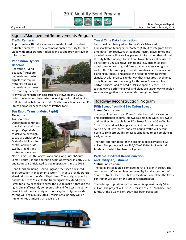

# Signals/Management/Improvements Program

#### **Traffic Cameras**

Approximately 10 traffic cameras were deployed to replace outdated cameras. The new cameras enable the City to share video with other transportation agencies and provide traveler information.

### **Pedestrian Hybrid Beacons**

Pedestrian Hybrid Beacons (PHBs) are pedestrian-activated signals that require motorists to stop so pedestrians can cross the roadway. Federal



Highway Administration research has shown nearly a 70% reduction in pedestrian crashes following the installation of a PHB. Recent installations include: North Lamar Boulevard at 31st Street and at Manchaca Road at Prather Lane.

### **Bus Rapid Transit (MetroRapid)**

The Austin **Transportation** Department continues to collaborate with and support Capital Metro to deliver a new high‐ capacity transit service, MetroRapid. Plans for MetroRapid include two bus rapid transit routes — one along



North Lamar/South Congress and one along Burnet/South Lamar. Route 1 is anticipated to begin operations in early 2014, and Route 2 is anticipated to begin operations in late 2014.

Bond funds are being used to upgrade the City's Advanced Transportation Management System (ATMS) to provide transit signal priority for the MetroRapid lines. Transit signal priority enables buses to "talk" to the traffic signals to extend green lights for a few seconds to allow the bus to make it through the light. City staff recently completed lab and field tests to verify feasibility of the transit signal priority system. System‐wide testing will begin in July 2013. Transit signal priority will be implemented at more than 130 signals.

### **Travel Time Data Integration**

Functionality is being added to the City's Advanced Transportation Management System (ATMS) to integrate travel time data from roadways throughout Austin. Travel times and travel-time reliability are key pieces of information that will help the City better manage traffic flow. Travel times will be used to alert staff to unusual travel conditions (e.g. incidents), post travel times on existing and future dynamic message signs as well as the City's web page, monitor roadway performance for planning purposes, and assess the need for retiming traffic signals. A pilot project is underway that measures travel times using Bluetooth sensors along South Lamar Boulevard from Barton Springs Road to Brodie Oaks Shopping Center. The technology is performing well and plans are under way to deploy sensors along other major arterials throughout Austin.

Bond Programs Report

# Roadway Reconstruction Program

#### **Fifth Street from IH-35 to Onion Street Status: ConstrucƟon**

The project is currently in Phase 1, which includes excavation and construction of curbs, sidewalks, retaining walls, driveways and the first lift of asphalt on Fifth Street from IH-35 to Waller Street. The work will take place behind barricades along the south side of Fifth Street, and east bound traffic will detour north to Sixth Street. This phase is scheduled to be complete in early summer.

The total appropriation for the project is approximately \$6.5 million. The project will use \$35,700 of 2010 Mobility Bond funds, all of which has been obligated.

# **Pedernales Street Reconstruction and Utility Adjustment**

#### **Status: ConstrucƟon**

The utility installation is complete north of Seventh Street. The contractor is 90% complete on the utility installation south of Seventh Street. Once the utility relocation is complete, the City's contractor will start on the street reconstruction.

The total appropriation for the project is approximately \$2.4 million. The project will use \$1.6 million of 2010 Mobility Bond funds. Of the \$1.6 million, 100% has been obligated.

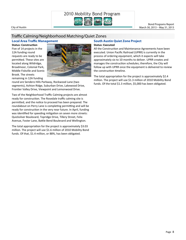

Bond Programs Report

# Traffic Calming/Neighborhood Matching/Quiet Zones

#### **Local Area Traffic Management**

**Status: ConstrucƟon**  Five of 14 projects in the 12A funding round requests are ready to be permitted. These sites are located along Wildridge, Broadmoor, Colonial Park, Middle Fiskville and Scenic Brook. The streets remaining in 12A funding



round are Sendero Hills Parkway, Rockwood Lane (two segments), Ashton Ridge, Suburban Drive, Lakewood Drive, Frontier Valley Drive, Viewpoint and Lemonwood Drive.

Two of the Neighborhood Traffic Calming projects are almost ready for construction. The Rosedale traffic calming site is permitted, and the notice to proceed has been prepared. The roundabout on Perry Lane is completing permitting and will be ready for construction in the very near future. In April, funding was identified for speeding mitigation on seven more streets: Quicksilver Boulevard, Topridge Drive, Tillery Street, Felix Avenue, Foster Lane, Battle Bend Boulevard and Wellington.

The total appropriation for the project is approximately \$3.03 million. The project will use \$1.6 million of 2010 Mobility Bond funds. Of that, \$1.4 million, or 88%, has been obligated.

#### **South Austin Quiet Zone Project Status: Executed**

All the Construction and Maintenance Agreements have been executed. Union Pacific Railroad (UPRR) is currently in the process of ordering equipment, which it expects will take approximately six to 10 months to deliver. UPRR creates and manages the construction schedules; therefore, the City will follow up with UPRR once the equipment is delivered to review the construction timeline.

The total appropriation for the project is approximately \$2.4 million. The project will use \$1.3 million of 2010 Mobility Bond funds. Of the total \$1.3 million, \$5,000 has been obligated.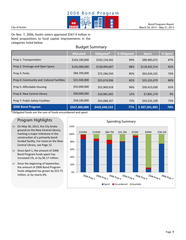

#### City of Austin

On Nov. 7, 2006, Austin voters approved \$567.4 million in bond propositions to fund capital improvements in the categories listed below.

# Budget Summary

|                                           | <b>Allocated</b> | Obligated*    | % Obligated | <b>Spent</b>  | $\frac{1}{20}$ Spent |
|-------------------------------------------|------------------|---------------|-------------|---------------|----------------------|
| Prop 1: Transportation                    | \$103,100,000    | \$102,134,342 | 99%         | \$89,485,672  | 87%                  |
| Prop 2: Drainage and Open Space           | \$145,000,000    | \$128,004,687 | 88%         | \$118,442,214 | 82%                  |
| Prop 3: Parks                             | \$84,700,000     | \$72,186,550  | 85%         | \$62,634,101  | 74%                  |
| Prop 4: Community and Cultural Facilities | \$31,500,000     | \$25,674,936  | 82%         | \$25,101,679  | 80%                  |
| Prop 5: Affordable Housing                | \$55,000,000     | \$52,969,918  | 96%         | \$50,415,030  | 92%                  |
| Prop 6: New Central Library               | \$90,000,000     | \$10,981,692  | 12%         | \$7,891,179   | 9%                   |
| Prop 7: Public Safety Facilities          | \$58,100,000     | \$43,688,107  | 75%         | \$43,532,109  | 75%                  |
| 2006 Bond Program                         | \$567,400,000    | \$435,640,232 | 77%         | \$397,501,983 | 70%                  |

\*Obligated funds are the sum of funds encumbered and spent.

# Program Highlights

- $\Rightarrow$  On May 30, 2013, the City broke ground on the New Central Library, marking a major milestone in the construction of a primarily bondfunded facility. For more on the New Central Library, see Page 12.
- $\Rightarrow$  Since April 1, the amount of 2006 Bond Program funds spent has increased 1%, or by \$6.17 million.
- $\Rightarrow$  Since the beginning of September, the amount of 2006 Bond Program funds obligated has grown by \$23.75 million, or by nearly 6%.

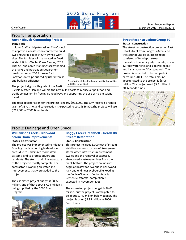

#### Prop 1: Transportation **Austin Bicycle Commuting Project Status: Bid**

In June, Staff anticipates asking City Council to approve a construction contract to build two shower facilities at City-owned work sites. The facilities will be located in Austin Water Utility's Waller Creek Center, 625 E. 10th St., and a free‐standing facility behind the Parks and Recreation Department headquarters at 200 S. Lamar Blvd. Locations were prioritized by user interest and building efficiency.



A rendering of the stand‐alone facility that will be at 200 S. Lamar Blvd.

The project aligns with goals of the Austin

Bicycle Master Plan and will aid the City in its efforts to reduce air pollution and traffic congestion by freeing up roadways and supporting the use of no-emissions travel.

The total appropriation for the project is nearly \$933,000. The City received a federal grant of \$371,740, and construction is expected to cost \$566,500.The project will use \$215,000 of 2006 Bond funds.

#### **Street Reconstruction: Group 30 Status: Construction**

The street reconstruction project on East Oltorf Street from Congress Avenue to the southbound IH‐35 access road consisted of full‐depth street reconstruction, utility adjustments, a new 12-foot water line, and sidewalk repair and installation to ADA standards. The project is expected to be complete in early June 2013. The total amount appropriated to the project is \$5.06 million. The project used \$3.5 million in 2006 Bonds funds.



# Prop 2: Drainage and Open Space

# **Williamson Creek – Blarwood Storm Drain Improvements**

#### **Status: ConstrucƟon**

The project was implemented to mitigate flooding that is occurring in developed areas due to undersized storm drain systems, and to protect drivers and residents. The storm drain infrastructure of the project is mostly complete. The contractor is working on water line improvements that were added to the project.

The estimated project budget is \$8.32 million, and of that about \$7.24 million is being supplied by the 2006 Bond Program.



# **Boggy Creek Greenbelt – Reach B8 Stream Restoration**

#### **Status: ConstrucƟon**

This project includes 3,000 feet of stream stabilization, construction of two green storm water infrastructure treatment swales and the removal of exposed, abandoned wastewater lines from the creek bottom. The project boundaries begin at Rosewood Avenue in Rosewood Park and end near Webberville Road at the Conley-Guerrero Senior Activity Center. Substantial completion is expected in November 2013.

The estimated project budget is \$6.07 million, but the project is anticipated to be about \$1.42 million below budget. The project is using \$2.95 million in 2006 Bond funds.

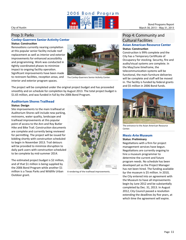

# Prop 3: Parks

#### **Conley-Guerrero Senior Activity Center Status: Construction**

Renovations currently nearing completion at this popular senior facility include roof replacement as well as interior and exterior improvements for enhanced accessibility and programming. Work was conducted in tightly coordinated phases to minimize impact to ongoing facility operation. Significant improvements have been made to restroom facilities, reception areas, and interior and exterior program spaces.



The Conley-Guerrero Senior Activity Center.

The project will be completed under the original project budget and has proceeded smoothly and on schedule for completion by August 2013. The total project budget is \$1.65 million, and was funded in full by the 2006 Bond Program.

# **Auditorium Shores Trailhead**

#### **Status: Design**

Site improvements to the main trailhead at Auditorium Shores will include new parking, restrooms, water quality, landscape and trailhead improvements at this popular point of access to the Ann and Roy Butler Hike and Bike Trail. Construction documents are complete and currently being reviewed for permitting. The project will be issued for bidding shortly with construction scheduled to begin in November 2013. Trail detours will be provided to minimize disruption to daily park users with construction scheduled to be complete by mid‐summer 2014.

The estimated project budget is \$2 million, and of that \$1 million is being supplied by the 2006 Bond Program while another \$1 million is a Texas Parks and Wildlife Urban Outdoor grant.



A rendering of the trailhead improvements.

### Prop 4: Community and Cultural Facilities **Asian American Resource Center Status: ConstrucƟon**

Construction is 99% complete and the City has a Temporary Certificate of Occupancy for stocking. Security, fire and audio/visual systems are complete. In the May/June timeframe, the telecommunication systems will be functional, the main furniture deliveries will be complete and staff will be moved in. The facility is funded by federal grants and \$5 million in 2006 Bond funds.



The entrance to the Asian American Resource Center.

#### **Mexic-Arte Museum Status: Preliminary**

Negotiations with a firm for project management services have begun. Negotiations are currently ongoing to hire a museum programmer to determine the current and future program needs. No schedule has been developed yet as the Project Manager has not been hired. The funding available for the museum is \$5 million. In 2010, the City entered into an agreement with the Museum to have all improvements begin by June 2012 and be substantially completed by Dec. 31, 2013. In August 2012, City Council passed a resolution extending the deadlines by five years, at which time the agreement will expire.